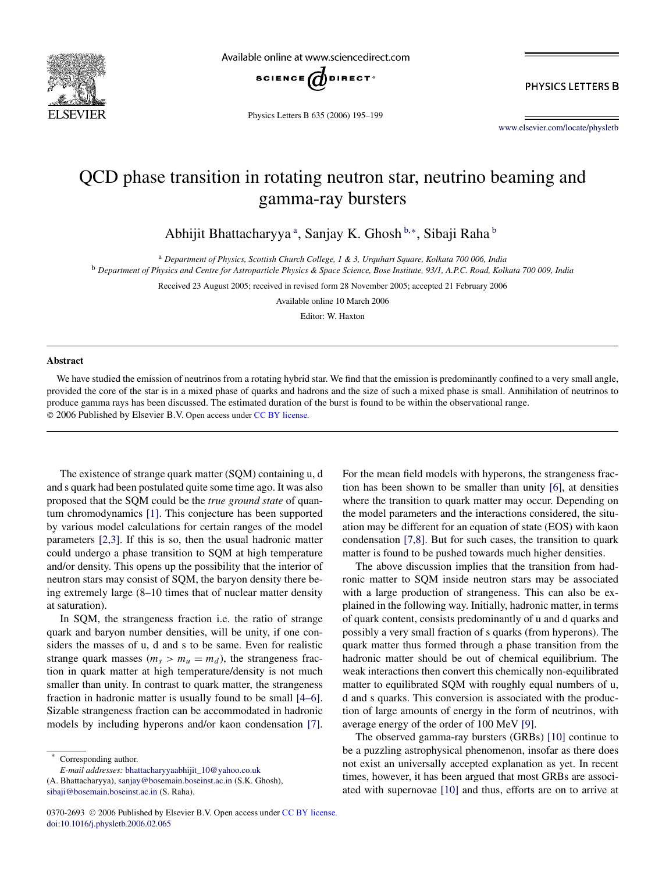

Available online at www.sciencedirect.com



PHYSICS LETTERS B

Physics Letters B 635 (2006) 195–199

www.elsevier.com/locate/physletb

## QCD phase transition in rotating neutron star, neutrino beaming and gamma-ray bursters

Abhijit Bhattacharyya<sup>a</sup>, Sanjay K. Ghosh<sup>b,\*</sup>, Sibaji Raha<sup>b</sup>

<sup>a</sup> *Department of Physics, Scottish Church College, 1 & 3, Urquhart Square, Kolkata 700 006, India*

<sup>b</sup> *Department of Physics and Centre for Astroparticle Physics & Space Science, Bose Institute, 93/1, A.P.C. Road, Kolkata 700 009, India*

Received 23 August 2005; received in revised form 28 November 2005; accepted 21 February 2006

Available online 10 March 2006

Editor: W. Haxton

## **Abstract**

We have studied the emission of neutrinos from a rotating hybrid star. We find that the emission is predominantly confined to a very small angle, provided the core of the star is in a mixed phase of quarks and hadrons and the size of such a mixed phase is small. Annihilation of neutrinos to produce gamma rays has been discussed. The estimated duration of the burst is found to be within the observational range. 2006 Published by Elsevier B.V. Open access under CC BY license.

The existence of strange quark matter (SQM) containing u, d and s quark had been postulated quite some time ago. It was also proposed that the SQM could be the *true ground state* of quantum chromodynamics [1]. This conjecture has been supported by various model calculations for certain ranges of the model parameters [2,3]. If this is so, then the usual hadronic matter could undergo a phase transition to SQM at high temperature and/or density. This opens up the possibility that the interior of neutron stars may consist of SQM, the baryon density there being extremely large (8–10 times that of nuclear matter density at saturation).

In SQM, the strangeness fraction i.e. the ratio of strange quark and baryon number densities, will be unity, if one considers the masses of u, d and s to be same. Even for realistic strange quark masses  $(m_s > m_u = m_d)$ , the strangeness fraction in quark matter at high temperature/density is not much smaller than unity. In contrast to quark matter, the strangeness fraction in hadronic matter is usually found to be small [4–6]. Sizable strangeness fraction can be accommodated in hadronic models by including hyperons and/or kaon condensation [7].

*E-mail addresses:* bhattacharyyaabhijit\_10@yahoo.co.uk

(A. Bhattacharyya), sanjay@bosemain.boseinst.ac.in (S.K. Ghosh), sibaji@bosemain.boseinst.ac.in (S. Raha).

For the mean field models with hyperons, the strangeness fraction has been shown to be smaller than unity [6], at densities where the transition to quark matter may occur. Depending on the model parameters and the interactions considered, the situation may be different for an equation of state (EOS) with kaon condensation [7,8]. But for such cases, the transition to quark matter is found to be pushed towards much higher densities.

The above discussion implies that the transition from hadronic matter to SQM inside neutron stars may be associated with a large production of strangeness. This can also be explained in the following way. Initially, hadronic matter, in terms of quark content, consists predominantly of u and d quarks and possibly a very small fraction of s quarks (from hyperons). The quark matter thus formed through a phase transition from the hadronic matter should be out of chemical equilibrium. The weak interactions then convert this chemically non-equilibrated matter to equilibrated SQM with roughly equal numbers of u, d and s quarks. This conversion is associated with the production of large amounts of energy in the form of neutrinos, with average energy of the order of 100 MeV [9].

The observed gamma-ray bursters (GRBs) [10] continue to be a puzzling astrophysical phenomenon, insofar as there does not exist an universally accepted explanation as yet. In recent times, however, it has been argued that most GRBs are associated with supernovae [10] and thus, efforts are on to arrive at

Corresponding author.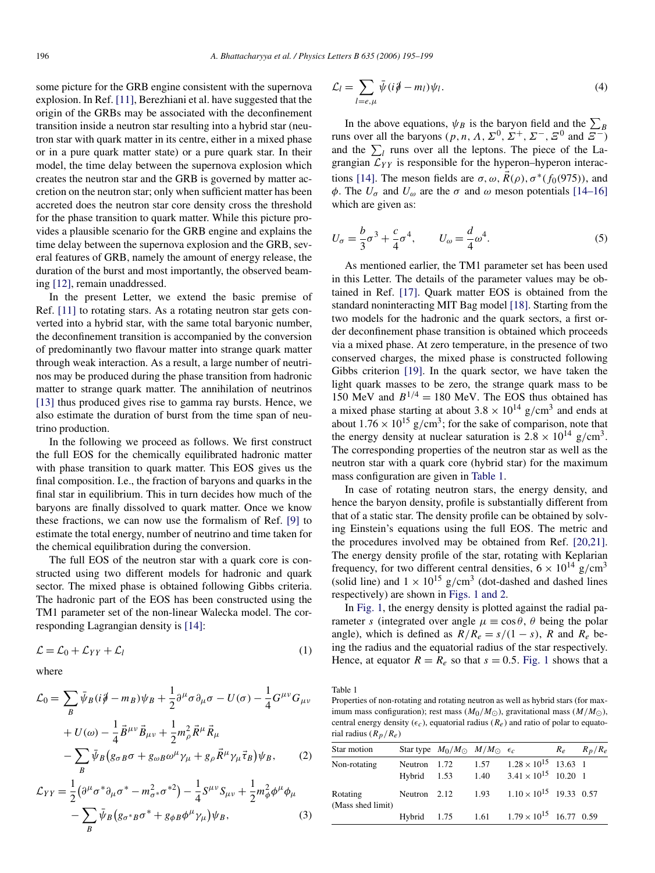some picture for the GRB engine consistent with the supernova explosion. In Ref. [11], Berezhiani et al. have suggested that the origin of the GRBs may be associated with the deconfinement transition inside a neutron star resulting into a hybrid star (neutron star with quark matter in its centre, either in a mixed phase or in a pure quark matter state) or a pure quark star. In their model, the time delay between the supernova explosion which creates the neutron star and the GRB is governed by matter accretion on the neutron star; only when sufficient matter has been accreted does the neutron star core density cross the threshold for the phase transition to quark matter. While this picture provides a plausible scenario for the GRB engine and explains the time delay between the supernova explosion and the GRB, several features of GRB, namely the amount of energy release, the duration of the burst and most importantly, the observed beaming [12], remain unaddressed.

In the present Letter, we extend the basic premise of Ref. [11] to rotating stars. As a rotating neutron star gets converted into a hybrid star, with the same total baryonic number, the deconfinement transition is accompanied by the conversion of predominantly two flavour matter into strange quark matter through weak interaction. As a result, a large number of neutrinos may be produced during the phase transition from hadronic matter to strange quark matter. The annihilation of neutrinos [13] thus produced gives rise to gamma ray bursts. Hence, we also estimate the duration of burst from the time span of neutrino production.

In the following we proceed as follows. We first construct the full EOS for the chemically equilibrated hadronic matter with phase transition to quark matter. This EOS gives us the final composition. I.e., the fraction of baryons and quarks in the final star in equilibrium. This in turn decides how much of the baryons are finally dissolved to quark matter. Once we know these fractions, we can now use the formalism of Ref. [9] to estimate the total energy, number of neutrino and time taken for the chemical equilibration during the conversion.

The full EOS of the neutron star with a quark core is constructed using two different models for hadronic and quark sector. The mixed phase is obtained following Gibbs criteria. The hadronic part of the EOS has been constructed using the TM1 parameter set of the non-linear Walecka model. The corresponding Lagrangian density is [14]:

$$
\mathcal{L} = \mathcal{L}_0 + \mathcal{L}_{YY} + \mathcal{L}_l \tag{1}
$$

where

$$
\mathcal{L}_0 = \sum_B \bar{\psi}_B (i \dot{\phi} - m_B) \psi_B + \frac{1}{2} \partial^\mu \sigma \partial_\mu \sigma - U(\sigma) - \frac{1}{4} G^{\mu \nu} G_{\mu \nu} \n+ U(\omega) - \frac{1}{4} \vec{B}^{\mu \nu} \vec{B}_{\mu \nu} + \frac{1}{2} m_\rho^2 \vec{R}^\mu \vec{R}_\mu \n- \sum_B \bar{\psi}_B (g_{\sigma B} \sigma + g_{\omega B} \omega^\mu \gamma_\mu + g_\rho \vec{R}^\mu \gamma_\mu \vec{\tau}_B) \psi_B, \qquad (2) \n\mathcal{L}_{YY} = \frac{1}{2} (\partial^\mu \sigma^* \partial_\mu \sigma^* - m_{\sigma^*}^2 \sigma^{*2}) - \frac{1}{4} S^{\mu \nu} S_{\mu \nu} + \frac{1}{2} m_\phi^2 \phi^\mu \phi_\mu
$$

$$
2^{\left(\sigma-\sigma-\mu\sigma+\mu\sigma+\sigma+\mu\right)}4^{\sigma-\sigma\mu\nu+2^{\mu\nu}\rho+\nu\mu}
$$
  
-
$$
\sum_{B}\bar{\psi}_{B}(g_{\sigma^{*}B}\sigma^{*}+g_{\phi}B\phi^{\mu}\gamma_{\mu})\psi_{B},
$$
 (3)

$$
\mathcal{L}_l = \sum_{l=e,\mu} \bar{\psi} (i\partial \!\!\!/ - m_l) \psi_l.
$$
\n(4)

In the above equations,  $\psi_B$  is the baryon field and the  $\sum_B$ The function over equations,  $\psi_B$  is the baryon field and the  $\sum_B$ <br>runs over all the baryons  $(p, n, \Lambda, \Sigma^0, \Sigma^+, \Sigma^-, \Xi^0)$  and  $\Xi^-$ ) and the  $\sum_l$  runs over all the leptons. The piece of the Lagrangian  $\mathcal{L}_{YY}$  is responsible for the hyperon–hyperon interactions [14]. The meson fields are  $\sigma$ ,  $\omega$ ,  $R(\rho)$ ,  $\sigma^*(f_0(975))$ , and  $\phi$ . The  $U_{\sigma}$  and  $U_{\omega}$  are the  $\sigma$  and  $\omega$  meson potentials [14–16] which are given as:

$$
U_{\sigma} = \frac{b}{3}\sigma^3 + \frac{c}{4}\sigma^4, \qquad U_{\omega} = \frac{d}{4}\omega^4. \tag{5}
$$

As mentioned earlier, the TM1 parameter set has been used in this Letter. The details of the parameter values may be obtained in Ref. [17]. Quark matter EOS is obtained from the standard noninteracting MIT Bag model [18]. Starting from the two models for the hadronic and the quark sectors, a first order deconfinement phase transition is obtained which proceeds via a mixed phase. At zero temperature, in the presence of two conserved charges, the mixed phase is constructed following Gibbs criterion [19]. In the quark sector, we have taken the light quark masses to be zero, the strange quark mass to be 150 MeV and  $B^{1/4} = 180$  MeV. The EOS thus obtained has a mixed phase starting at about  $3.8 \times 10^{14}$  g/cm<sup>3</sup> and ends at about  $1.76 \times 10^{15}$  g/cm<sup>3</sup>; for the sake of comparison, note that the energy density at nuclear saturation is  $2.8 \times 10^{14}$  g/cm<sup>3</sup>. The corresponding properties of the neutron star as well as the neutron star with a quark core (hybrid star) for the maximum mass configuration are given in Table 1.

In case of rotating neutron stars, the energy density, and hence the baryon density, profile is substantially different from that of a static star. The density profile can be obtained by solving Einstein's equations using the full EOS. The metric and the procedures involved may be obtained from Ref. [20,21]. The energy density profile of the star, rotating with Keplarian frequency, for two different central densities,  $6 \times 10^{14}$  g/cm<sup>3</sup> (solid line) and  $1 \times 10^{15}$  g/cm<sup>3</sup> (dot-dashed and dashed lines respectively) are shown in Figs. 1 and 2.

In Fig. 1, the energy density is plotted against the radial parameter s (integrated over angle  $\mu \equiv \cos \theta$ ,  $\theta$  being the polar angle), which is defined as  $R/R_e = s/(1 - s)$ , R and  $R_e$  being the radius and the equatorial radius of the star respectively. Hence, at equator  $R = R_e$  so that  $s = 0.5$ . Fig. 1 shows that a

Table 1

Properties of non-rotating and rotating neutron as well as hybrid stars (for maximum mass configuration); rest mass  $(M_0/M_{\odot})$ , gravitational mass  $(M/M_{\odot})$ , central energy density ( $\epsilon_c$ ), equatorial radius ( $R_e$ ) and ratio of polar to equatorial radius  $(R_p/R_e)$ 

| Star motion                   |                               | Star type $M_0/M_{\odot}$ $M/M_{\odot}$ $\epsilon_c$ |              |                                                                | $R_e$ $R_p/R_e$ |
|-------------------------------|-------------------------------|------------------------------------------------------|--------------|----------------------------------------------------------------|-----------------|
| Non-rotating                  | Neutron 1.72<br>$Hvbrid$ 1.53 |                                                      | 1.57<br>1.40 | $1.28 \times 10^{15}$ 13.63 1<br>$3.41 \times 10^{15}$ 10.20 1 |                 |
| Rotating<br>(Mass shed limit) | Neutron 2.12                  |                                                      | 1.93         | $1.10 \times 10^{15}$ 19.33 0.57                               |                 |
|                               |                               |                                                      |              | Hybrid 1.75 1.61 $1.79 \times 10^{15}$ 16.77 0.59              |                 |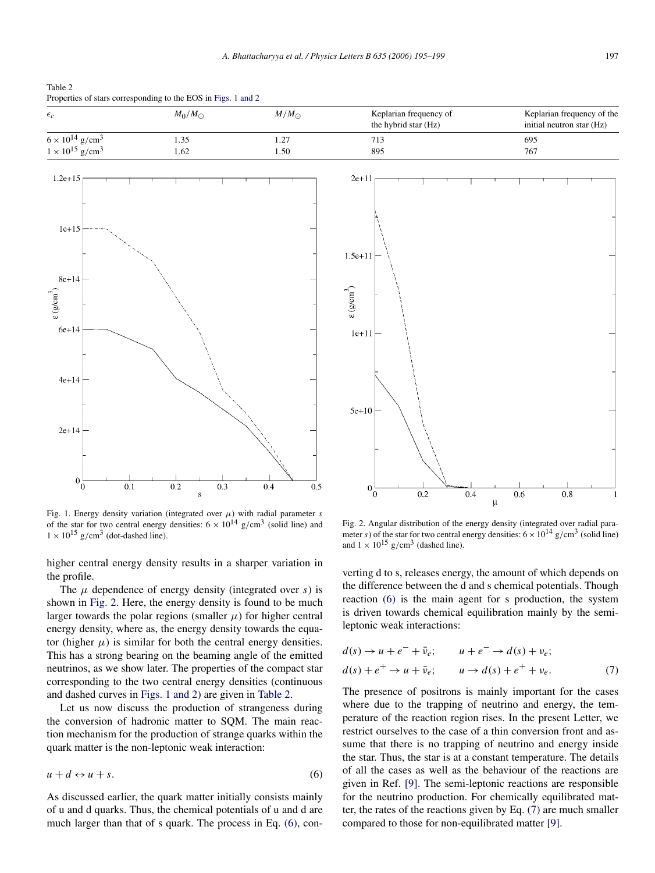Table 2 Properties of stars corresponding to the EOS in Figs. 1 and 2

 $6e + 14$ 

 $4e + 14$ 

 $2e + 14$ 

 $0\frac{1}{0}$ 

 $0.1$ 

| $\epsilon_c$                                                                 | $M_0/M_\odot$ | $M/M_{\odot}$ | Keplarian frequency of<br>the hybrid star (Hz) | Keplarian frequency of the<br>initial neutron star (Hz) |
|------------------------------------------------------------------------------|---------------|---------------|------------------------------------------------|---------------------------------------------------------|
| $6 \times 10^{14}$ g/cm <sup>3</sup><br>$1 \times 10^{15}$ g/cm <sup>3</sup> | 1.35<br>1.62  | 1.27<br>1.50  | 713<br>895                                     | 695<br>767                                              |
| $1.2e + 15$                                                                  |               |               | $2e+11$                                        |                                                         |
| $1e+15$                                                                      |               |               |                                                |                                                         |
| $8e+14$<br>$\epsilon$ (g/cm $^3$                                             |               |               | $1.5e + 11$<br>$\epsilon\left(g/cm^{3}\right)$ |                                                         |

 $1e+11$ 

 $5e+10$ 

 $0\frac{1}{0}$ 

 $0.2$ 

Fig. 1. Energy density variation (integrated over  $\mu$ ) with radial parameter s of the star for two central energy densities:  $6 \times 10^{14}$  g/cm<sup>3</sup> (solid line) and  $1 \times 10^{15}$  g/cm<sup>3</sup> (dot-dashed line).

 $0.3$ 

 $0.4$ 

 $0.5$ 

 $0.2$ 

higher central energy density results in a sharper variation in the profile.

The  $\mu$  dependence of energy density (integrated over s) is shown in Fig. 2. Here, the energy density is found to be much larger towards the polar regions (smaller  $\mu$ ) for higher central energy density, where as, the energy density towards the equator (higher  $\mu$ ) is similar for both the central energy densities. This has a strong bearing on the beaming angle of the emitted neutrinos, as we show later. The properties of the compact star corresponding to the two central energy densities (continuous and dashed curves in Figs. 1 and 2) are given in Table 2.

Let us now discuss the production of strangeness during the conversion of hadronic matter to SQM. The main reaction mechanism for the production of strange quarks within the quark matter is the non-leptonic weak interaction:

$$
u + d \leftrightarrow u + s. \tag{6}
$$

As discussed earlier, the quark matter initially consists mainly of u and d quarks. Thus, the chemical potentials of u and d are much larger than that of s quark. The process in Eq. (6), con-

Fig. 2. Angular distribution of the energy density (integrated over radial parameter s) of the star for two central energy densities:  $6 \times 10^{14}$  g/cm<sup>3</sup> (solid line) and  $1 \times 10^{15}$  g/cm<sup>3</sup> (dashed line).

 $\mathsf{u}$ 

0.6

 $0.8$ 

 $\mathbf{1}$ 

 $0.4$ 

verting d to s, releases energy, the amount of which depends on the difference between the d and s chemical potentials. Though reaction (6) is the main agent for s production, the system is driven towards chemical equilibration mainly by the semileptonic weak interactions:

$$
d(s) \rightarrow u + e^- + \bar{\nu}_e; \qquad u + e^- \rightarrow d(s) + \nu_e; d(s) + e^+ \rightarrow u + \bar{\nu}_e; \qquad u \rightarrow d(s) + e^+ + \nu_e.
$$
 (7)

The presence of positrons is mainly important for the cases where due to the trapping of neutrino and energy, the temperature of the reaction region rises. In the present Letter, we restrict ourselves to the case of a thin conversion front and assume that there is no trapping of neutrino and energy inside the star. Thus, the star is at a constant temperature. The details of all the cases as well as the behaviour of the reactions are given in Ref. [9]. The semi-leptonic reactions are responsible for the neutrino production. For chemically equilibrated matter, the rates of the reactions given by Eq. (7) are much smaller compared to those for non-equilibrated matter [9].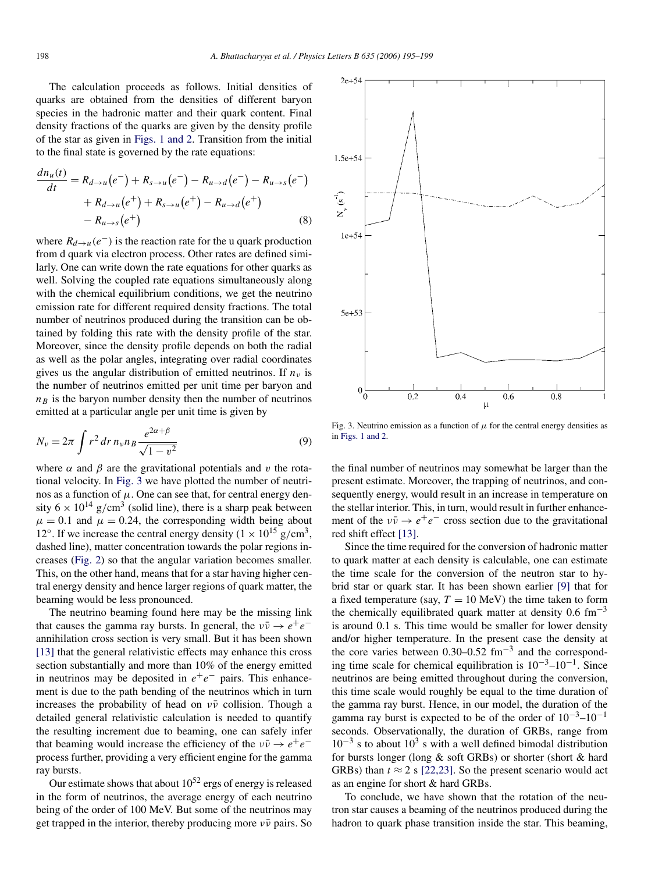The calculation proceeds as follows. Initial densities of quarks are obtained from the densities of different baryon species in the hadronic matter and their quark content. Final density fractions of the quarks are given by the density profile of the star as given in Figs. 1 and 2. Transition from the initial to the final state is governed by the rate equations:

$$
\frac{dn_u(t)}{dt} = R_{d \to u}(e^-) + R_{s \to u}(e^-) - R_{u \to d}(e^-) - R_{u \to s}(e^-) + R_{d \to u}(e^+) + R_{s \to u}(e^+) - R_{u \to d}(e^+) - R_{u \to s}(e^+) \tag{8}
$$

where  $R_{d\to u}(e^-)$  is the reaction rate for the u quark production from d quark via electron process. Other rates are defined similarly. One can write down the rate equations for other quarks as well. Solving the coupled rate equations simultaneously along with the chemical equilibrium conditions, we get the neutrino emission rate for different required density fractions. The total number of neutrinos produced during the transition can be obtained by folding this rate with the density profile of the star. Moreover, since the density profile depends on both the radial as well as the polar angles, integrating over radial coordinates gives us the angular distribution of emitted neutrinos. If  $n<sub>v</sub>$  is the number of neutrinos emitted per unit time per baryon and  $n<sub>B</sub>$  is the baryon number density then the number of neutrinos emitted at a particular angle per unit time is given by

$$
N_{\nu} = 2\pi \int r^2 dr \, n_{\nu} n_B \frac{e^{2\alpha + \beta}}{\sqrt{1 - v^2}}
$$
(9)

where  $\alpha$  and  $\beta$  are the gravitational potentials and v the rotational velocity. In Fig. 3 we have plotted the number of neutrinos as a function of  $\mu$ . One can see that, for central energy density  $6 \times 10^{14}$  g/cm<sup>3</sup> (solid line), there is a sharp peak between  $\mu = 0.1$  and  $\mu = 0.24$ , the corresponding width being about 12°. If we increase the central energy density  $(1 \times 10^{15} \text{ g/cm}^3)$ , dashed line), matter concentration towards the polar regions increases (Fig. 2) so that the angular variation becomes smaller. This, on the other hand, means that for a star having higher central energy density and hence larger regions of quark matter, the beaming would be less pronounced.

The neutrino beaming found here may be the missing link that causes the gamma ray bursts. In general, the  $v\bar{v} \rightarrow e^+e^$ annihilation cross section is very small. But it has been shown [13] that the general relativistic effects may enhance this cross section substantially and more than 10% of the energy emitted in neutrinos may be deposited in  $e^+e^-$  pairs. This enhancement is due to the path bending of the neutrinos which in turn increases the probability of head on  $\nu\bar{\nu}$  collision. Though a detailed general relativistic calculation is needed to quantify the resulting increment due to beaming, one can safely infer that beaming would increase the efficiency of the  $v\bar{v} \rightarrow e^+e^$ process further, providing a very efficient engine for the gamma ray bursts.

Our estimate shows that about  $10^{52}$  ergs of energy is released in the form of neutrinos, the average energy of each neutrino being of the order of 100 MeV. But some of the neutrinos may get trapped in the interior, thereby producing more  $v\bar{v}$  pairs. So



Fig. 3. Neutrino emission as a function of  $\mu$  for the central energy densities as in Figs. 1 and 2.

the final number of neutrinos may somewhat be larger than the present estimate. Moreover, the trapping of neutrinos, and consequently energy, would result in an increase in temperature on the stellar interior. This, in turn, would result in further enhancement of the  $v\bar{v} \rightarrow e^+e^-$  cross section due to the gravitational red shift effect [13].

Since the time required for the conversion of hadronic matter to quark matter at each density is calculable, one can estimate the time scale for the conversion of the neutron star to hybrid star or quark star. It has been shown earlier [9] that for a fixed temperature (say,  $T = 10 \text{ MeV}$ ) the time taken to form the chemically equilibrated quark matter at density  $0.6 \text{ fm}^{-3}$ is around 0.1 s. This time would be smaller for lower density and/or higher temperature. In the present case the density at the core varies between 0.30–0.52  $\text{fm}^{-3}$  and the corresponding time scale for chemical equilibration is  $10^{-3}$ – $10^{-1}$ . Since neutrinos are being emitted throughout during the conversion, this time scale would roughly be equal to the time duration of the gamma ray burst. Hence, in our model, the duration of the gamma ray burst is expected to be of the order of  $10^{-3}$ – $10^{-1}$ seconds. Observationally, the duration of GRBs, range from  $10^{-3}$  s to about  $10^{3}$  s with a well defined bimodal distribution for bursts longer (long & soft GRBs) or shorter (short & hard GRBs) than  $t \approx 2$  s [22,23]. So the present scenario would act as an engine for short & hard GRBs.

To conclude, we have shown that the rotation of the neutron star causes a beaming of the neutrinos produced during the hadron to quark phase transition inside the star. This beaming,